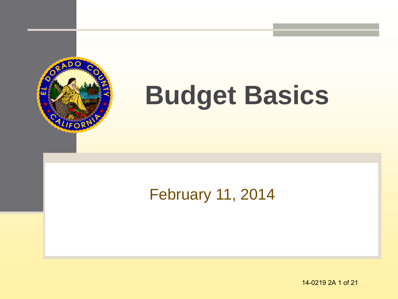

# **Budget Basics**

#### February 11, 2014

14-0219 2A 1 of 21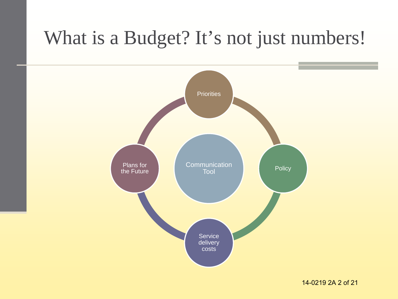#### What is a Budget? It's not just numbers!

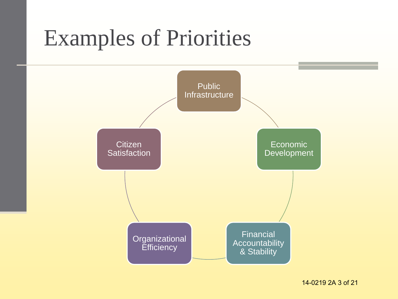### Examples of Priorities



14-0219 2A 3 of 21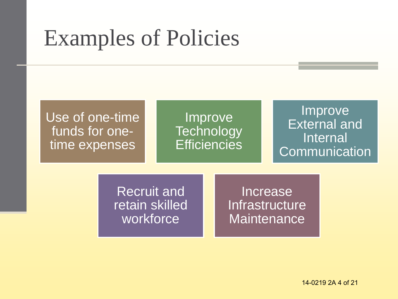## Examples of Policies

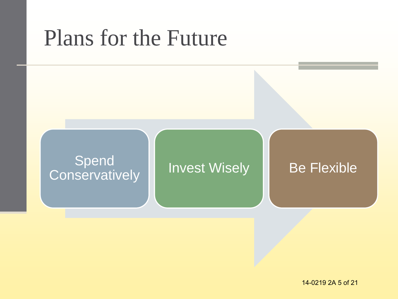#### Plans for the Future

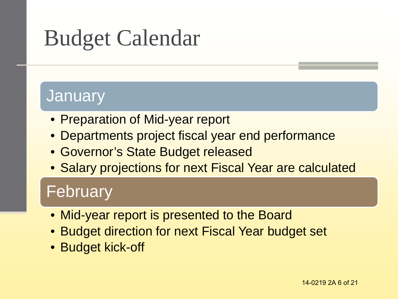## Budget Calendar

#### **January**

- Preparation of Mid-year report
- Departments project fiscal year end performance
- Governor's State Budget released
- Salary projections for next Fiscal Year are calculated

#### February

- Mid-year report is presented to the Board
- Budget direction for next Fiscal Year budget set
- Budget kick-off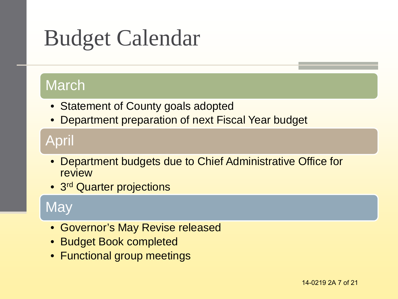## Budget Calendar

#### March

- Statement of County goals adopted
- Department preparation of next Fiscal Year budget

#### April

- Department budgets due to Chief Administrative Office for review
- 3<sup>rd</sup> Quarter projections

#### **May**

- Governor's May Revise released
- Budget Book completed
- Functional group meetings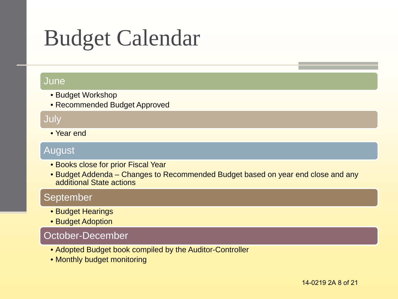## Budget Calendar

#### June

- Budget Workshop
- Recommended Budget Approved

#### July

• Year end

#### August

- Books close for prior Fiscal Year
- Budget Addenda Changes to Recommended Budget based on year end close and any additional State actions

#### September

- Budget Hearings
- Budget Adoption

#### October-December

- Adopted Budget book compiled by the Auditor-Controller
- Monthly budget monitoring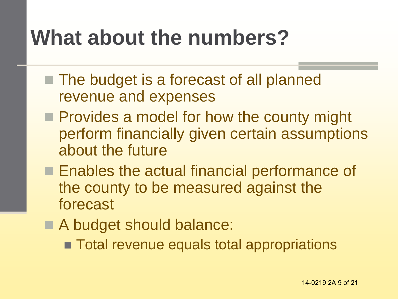### **What about the numbers?**

- The budget is a forecast of all planned revenue and expenses
- **Provides a model for how the county might** perform financially given certain assumptions about the future
- **Enables the actual financial performance of** the county to be measured against the forecast
- A budget should balance:
	- **Total revenue equals total appropriations**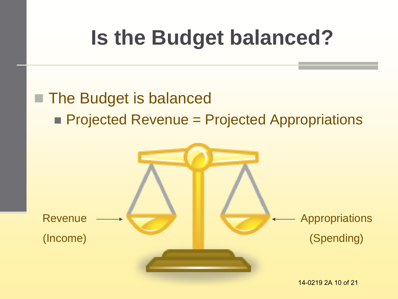## **Is the Budget balanced?**

#### ■ The Budget is balanced **Projected Revenue = Projected Appropriations**

![](_page_9_Figure_2.jpeg)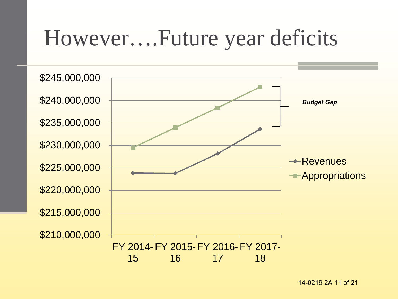#### However….Future year deficits

![](_page_10_Figure_1.jpeg)

14-0219 2A 11 of 21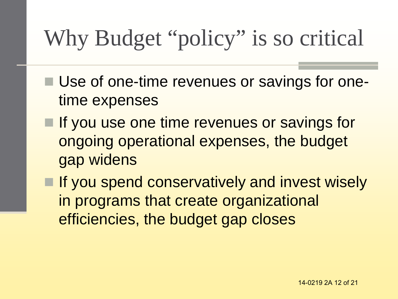## Why Budget "policy" is so critical

- Use of one-time revenues or savings for onetime expenses
- $\blacksquare$  If you use one time revenues or savings for ongoing operational expenses, the budget gap widens
- **If you spend conservatively and invest wisely** in programs that create organizational efficiencies, the budget gap closes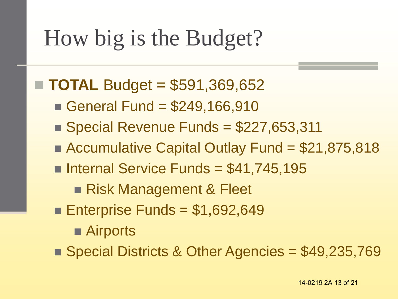## How big is the Budget?

#### **TOTAL** Budget = \$591,369,652

- General Fund =  $$249,166,910$
- $\blacksquare$  Special Revenue Funds = \$227,653,311
- Accumulative Capital Outlay Fund = \$21,875,818
- Internal Service Funds =  $$41,745,195$ 
	- Risk Management & Fleet
- Enterprise Funds =  $$1,692,649$ 
	- Airports
- Special Districts & Other Agencies = \$49,235,769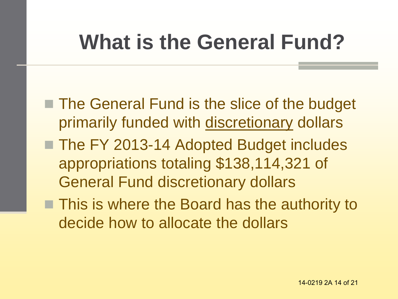### **What is the General Fund?**

- The General Fund is the slice of the budget primarily funded with discretionary dollars
- The FY 2013-14 Adopted Budget includes appropriations totaling \$138,114,321 of General Fund discretionary dollars
- **This is where the Board has the authority to** decide how to allocate the dollars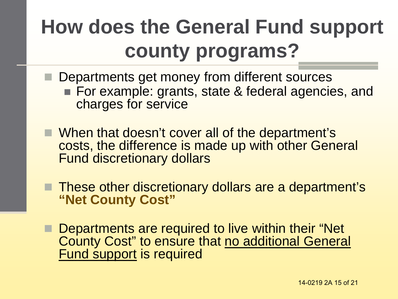### **How does the General Fund support county programs?**

- Departments get money from different sources ■ For example: grants, state & federal agencies, and charges for service
- When that doesn't cover all of the department's costs, the difference is made up with other General Fund discretionary dollars
- **These other discretionary dollars are a department's "Net County Cost"**
- **Departments are required to live within their "Net** County Cost" to ensure that no additional General Fund support is required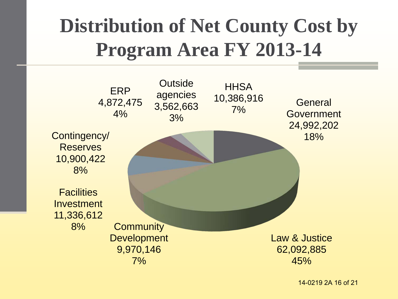#### **Distribution of Net County Cost by Program Area FY 2013-14**

![](_page_15_Figure_1.jpeg)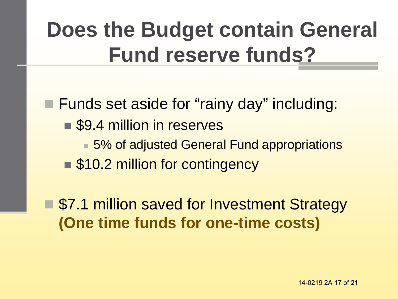## **Does the Budget contain General Fund reserve funds?**

**Funds set aside for "rainy day" including:** ■ \$9.4 million in reserves ■ 5% of adjusted General Fund appropriations ■ \$10.2 million for contingency

■ \$7.1 million saved for Investment Strategy **(One time funds for one-time costs)**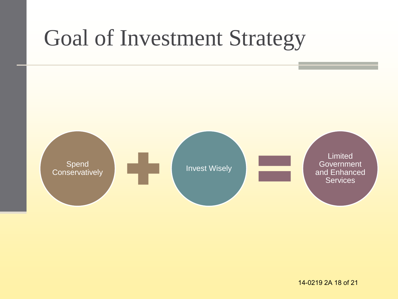## Goal of Investment Strategy

![](_page_17_Figure_1.jpeg)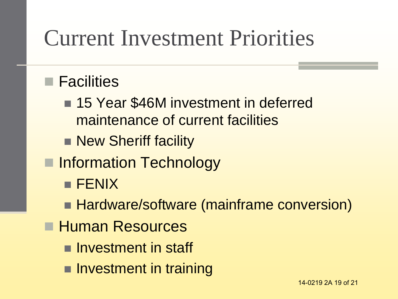### Current Investment Priorities

#### **■ Facilities**

- 15 Year \$46M investment in deferred maintenance of current facilities
- New Sheriff facility
- **Information Technology** 
	- **FENIX**
	- Hardware/software (mainframe conversion)
- **Human Resources** 
	- **Investment in staff**
	- **Investment in training**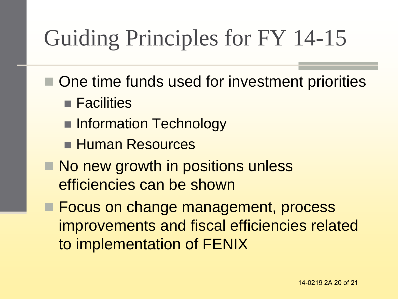## Guiding Principles for FY 14-15

- One time funds used for investment priorities
	- **Facilities**
	- **Information Technology**
	- **Human Resources**
- No new growth in positions unless efficiencies can be shown
- **Focus on change management, process** improvements and fiscal efficiencies related to implementation of FENIX